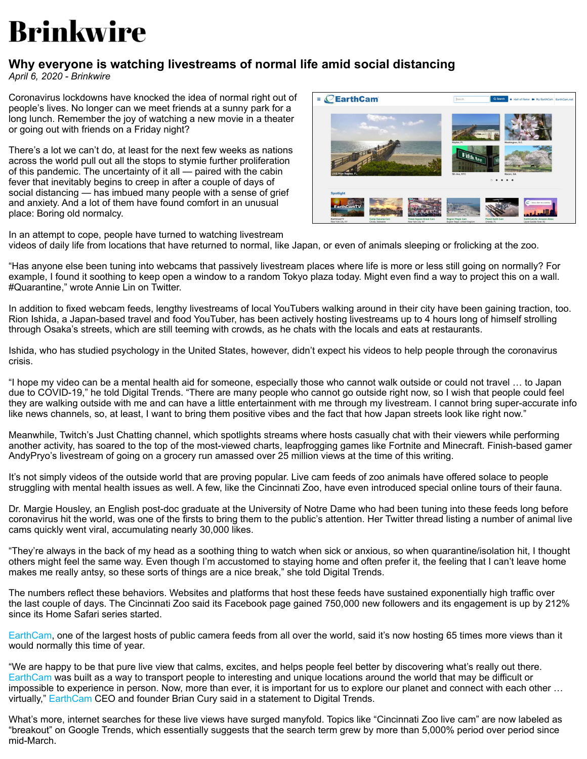## **Brinkwire**

## **Why everyone is watching livestreams of normal life amid social distancing**

*April 6, 2020 - Brinkwire*

Coronavirus lockdowns have knocked the idea of normal right out of people's lives. No longer can we meet friends at a sunny park for a long lunch. Remember the joy of watching a new movie in a theater or going out with friends on a Friday night?

There's a lot we can't do, at least for the next few weeks as nations across the world pull out all the stops to stymie further proliferation of this pandemic. The uncertainty of it all — paired with the cabin fever that inevitably begins to creep in after a couple of days of social distancing — has imbued many people with a sense of grief and anxiety. And a lot of them have found comfort in an unusual place: Boring old normalcy.



In an attempt to cope, people have turned to watching livestream videos of daily life from locations that have returned to normal, like Japan, or even of animals sleeping or frolicking at the zoo.

"Has anyone else been tuning into webcams that passively livestream places where life is more or less still going on normally? For example, I found it soothing to keep open a window to a random Tokyo plaza today. Might even find a way to project this on a wall. #Quarantine," wrote Annie Lin on Twitter.

In addition to fixed webcam feeds, lengthy livestreams of local YouTubers walking around in their city have been gaining traction, too. Rion Ishida, a Japan-based travel and food YouTuber, has been actively hosting livestreams up to 4 hours long of himself strolling through Osaka's streets, which are still teeming with crowds, as he chats with the locals and eats at restaurants.

Ishida, who has studied psychology in the United States, however, didn't expect his videos to help people through the coronavirus crisis.

"I hope my video can be a mental health aid for someone, especially those who cannot walk outside or could not travel … to Japan due to COVID-19," he told Digital Trends. "There are many people who cannot go outside right now, so I wish that people could feel they are walking outside with me and can have a little entertainment with me through my livestream. I cannot bring super-accurate info like news channels, so, at least, I want to bring them positive vibes and the fact that how Japan streets look like right now."

Meanwhile, Twitch's Just Chatting channel, which spotlights streams where hosts casually chat with their viewers while performing another activity, has soared to the top of the most-viewed charts, leapfrogging games like Fortnite and Minecraft. Finish-based gamer AndyPryo's livestream of going on a grocery run amassed over 25 million views at the time of this writing.

It's not simply videos of the outside world that are proving popular. Live cam feeds of zoo animals have offered solace to people struggling with mental health issues as well. A few, like the Cincinnati Zoo, have even introduced special online tours of their fauna.

Dr. Margie Housley, an English post-doc graduate at the University of Notre Dame who had been tuning into these feeds long before coronavirus hit the world, was one of the firsts to bring them to the public's attention. Her Twitter thread listing a number of animal live cams quickly went viral, accumulating nearly 30,000 likes.

"They're always in the back of my head as a soothing thing to watch when sick or anxious, so when quarantine/isolation hit, I thought others might feel the same way. Even though I'm accustomed to staying home and often prefer it, the feeling that I can't leave home makes me really antsy, so these sorts of things are a nice break," she told Digital Trends.

The numbers reflect these behaviors. Websites and platforms that host these feeds have sustained exponentially high traffic over the last couple of days. The Cincinnati Zoo said its Facebook page gained 750,000 new followers and its engagement is up by 212% since its Home Safari series started.

[EarthCam](https://www.earthcam.com/), one of the largest hosts of public camera feeds from all over the world, said it's now hosting 65 times more views than it would normally this time of year.

"We are happy to be that pure live view that calms, excites, and helps people feel better by discovering what's really out there. [EarthCam](https://www.earthcam.com/) was built as a way to transport people to interesting and unique locations around the world that may be difficult or impossible to experience in person. Now, more than ever, it is important for us to explore our planet and connect with each other … virtually," [EarthCam](https://www.earthcam.com/) CEO and founder Brian Cury said in a statement to Digital Trends.

What's more, internet searches for these live views have surged manyfold. Topics like "Cincinnati Zoo live cam" are now labeled as "breakout" on Google Trends, which essentially suggests that the search term grew by more than 5,000% period over period since mid-March.